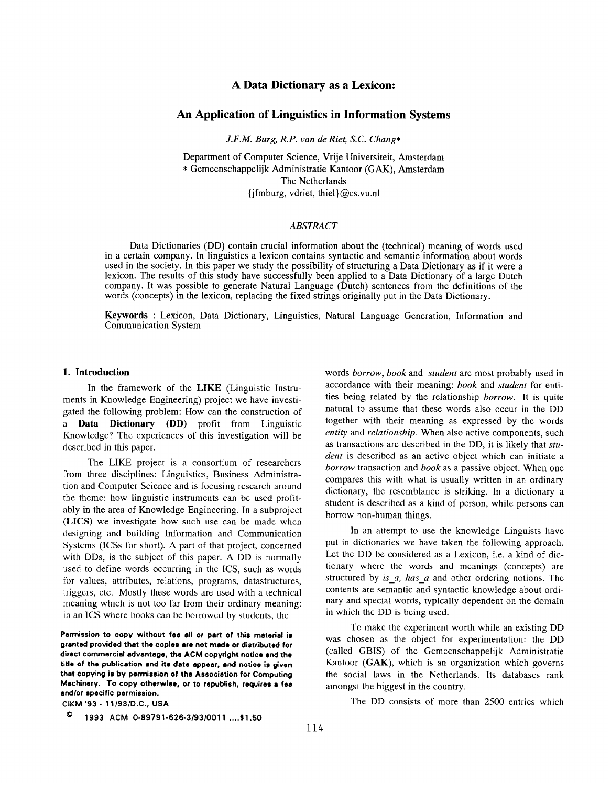# A Data Dictionary as a Lexicon:

### An Application of Linguistics in Information Systems

J.F.M. Burg, R.P. van de Riet, S.C. Chang\*

Department of Computer Science, Vrije Universiteit, Amsterdam \* Gemeenschappelijk Administratie Kantoor (GAK), Amsterdam The Netherlands fifmburg, vdriet, thiel}@cs.vu.nl

### ABSTRACT

Data Dictionaries (DD) contain crucial information about the (technical) meaning of words used in a certain company. In linguistics a lexicon contains syntactic and semantic information about words used in the society. In this paper we study the possibility of structuring a Data Dictionary as if it were a lexicon. The results of this study have successfully been applied to a Data Dictionary of a large Dutch company. It was possible to generate Natural Language (Dutch) sentences from the definitions of the words (concepts) in the lexicon, replacing the fixed strings originally put in the Data Dictionary.

Keywords : Lexicon, Data Dictionary, Linguistics, Natural Language Generation, Information and Communication System

#### 1. Introduction

In the framework of the LIKE (Linguistic Instruments in Knowledge Engineering) project we have investigated the following problem: How can the construction of a Data Dictionary (DD) profit from Linguistic Knowledge? The experiences of this investigation will be described in this paper.

The LIKE project is a consortium of researchers from three disciplines: Linguistics, Business Administration and Computer Science and is focusing research around the theme: how linguistic instruments can be used profitably in the area of Knowledge Engineering. In a subproject (LICS) we investigate how such use can be made when designing and building Information and Communication Systems (ICSS for short). A part of that project, concerned with DDs, is the subject of this paper. A DD is normally used to define words occurring in the ICS, such as words for values, attributes, relations, programs, datastructures, triggers, etc. Mostly these words are used with a technical meaning which is not too far from their ordinary meaning: in an ICS where books can be borrowed by students, the

Permission to copy without fee all or part of this material is granted provided that the copies are not made or distributed for direct commercial advantage, the ACM copyright notice and the title of the publication and its date appear, and notice is given thet copying is by permission of the Association for Computing Machinery. To copy otherwise, or to republish, requires e fee end/or specific permission.

CIKM '93 - 11/93/D.C., USA

words *borrow*, *book* and *student* are most probably used in accordance with their meaning: book and student for entities being related by the relationship borrow. It is quite natural to assume that these words also occur in the DD together with their meaning as expressed by the words entity and *relationship*. When also active components, such as transactions are described in the DD, it is likely that student is described as an active object which can initiate a borrow transaction and book as a passive object. When one compares this with what is usually written in an ordinary dictionary, the resemblance is striking. In a dictionary a student is described as a kind of person, while persons can borrow non-human things.

In an attempt to use the knowledge Linguists have put in dictionaries we have taken the following approach. Let the DD be considered as a Lexicon, i.e. a kind of dictionary where the words and meanings (concepts) are structured by is  $a$ , has  $a$  and other ordering notions. The contents are semantic and syntactic knowledge about ordinary and special words, typically dependent on the domain in which the DD is being used.

To make the experiment worth while an existing DD was chosen as the object for experimentation: the DD (called GBIS) of the Gemeenschappelijk Administratie Kantoor (GAK), which is an organization which governs the social laws in the Netherlands. Its databases rank amongst the biggest in the country.

The DD consists of more than 2500 entries which

<sup>0</sup> 1993 ACM 0-89791-626-3/93/0011 ....\$1.50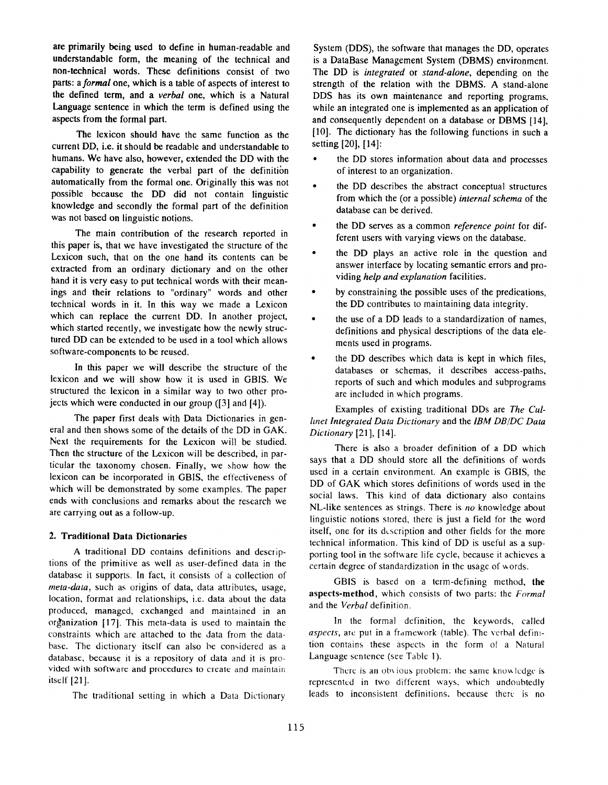are primarily being used to define in human-readable and understandable form, the meaning of the technical and non-technical words. These definitions consist of two parts: a formal one, which is a table of aspects of interest to the defined term, and a verbal one, which is a Natural Language sentence in which the term is defined using the aspects from the formal part.

The lexicon should have the same function as the current DD, i.e. it should be readable and understandable to humans. We have also, however, extended the DD with the capability to generate the verbal part of the definition automatically from the formal one. Originally this was not possible because the DD did not contain linguistic knowledge and secondly the formal part of the definition was not based on linguistic notions.

The main contribution of the research reported in this paper is, that we have investigated the structure of the Lexicon such, that on the one hand its contents can be extracted from an ordinary dictionary and on the other hand it is very easy to put technical words with their meanings and their relations to "ordinary" words and other technical words in it. In this way we made a Lexicon which can replace the current DD. In another project, which started recently, we investigate how the newly structured DD can be extended to be used in a tool which allows software-components to be reused.

In this paper we will describe the structure of the lexicon and we will show how it is used in GBIS. We structured the lexicon in a similar way to two other projects which were conducted in our group ([3] and [4]).

The paper first deals with Data Dictionaries in general and then shows some of the details of the DD in GAK. Next the requirements for the Lexicon will be studied. Then the structure of the Lexicon will be described, in particular the taxonomy chosen. Finally, we \how how the lexicon can be incorporated in GBIS, the effectiveness of which will be demonstrated by some examples. The paper ends with conclusions and remarks about the research we are carrying out as a follow-up.

#### 2. Traditional Data Dictionaries

A traditional DD contains definitions and descriptions of the primitive as well as user-defined data in the database it supports. In fact, it consists of a collection of meta-data, such as origins of data, data attributes, usage, location, format and relationships, i.e. data about the data produced, managed, exchanged and maintained in an organization [17]. This meta-data is used to maintain the constraints which are attached to the data from the database. The dictionary itself can also be considered as a database, because it is a repository of data and it is provided with software and procedures to crealc and maintain itself [21].

The traditional setting in which a Data Dictionary

System (DDS), the software that manages the DD, operates is a DataBase Management System (DBMS) environment. The DD is integrated or stand-alone, depending on the strength of the relation with the DBMS. A stand-alone DDS has its own maintenance and reporting programs, while an integrated one is implemented as an application of and consequently dependent on a database or DBMS [14], [1O]. The dictionary has the following functions in such a setting [20], [14]:

- the DD stores information about data and processes of interest to an organization.
- the DD describes the abstract conceptual structures from which the (or a possible) internal schema of the database can be derived.
- the DD serves as a common reference point for different users with varying views on the database.
- the DD plays an active role in the question and answer interface by locating semantic errors and providing help and explanation facilities.
- $\bullet$ by constraining the possible uses of the predications, the DD contributes to maintaining data integrity.
- $\bullet$ the use of a DD leads to a standardization of names, definitions and physical descriptions of the data elements used in programs.
- $\bullet$ the DD describes which data is kept in which files, databases or schemas, it describes access-paths, reports of such and which modules and subprograms are included in which programs.

Examples of existing traditional DDs are The Cu/ lmet Integrated Data Dictionary and the IBM DB/DC Data Dictionary [21], [14].

There is also a broader definition of a DD which says that a DD should store all the definitions of words used in a certain environment. An example is GBIS, the DD of GAK which stores definitions of words used in the social laws. This kind of data dictionary also contains NL-like sentences as strings. There is no knowledge about linguistic notions stored, there is just a field for the word itself, one for its description and other fields for the more technical information. This kind of DD is useful as a supporting tool in the software life cycle, because it achieves a certain degree of standardization in the usage of words.

GBIS is based on a term-defining method, the aspects-method, which consists of two parts: the Formal and the Verbal definition.

In the formal definition, the keywords, called aspects, are put in a framework (table). The verbal definition contains these aspects in the form of a Natural Language sentence (see Table 1).

There is an obvious problem: the same knowledge is represented in two different ways, which undoubtedly leads to inconsistent definitions, because there is no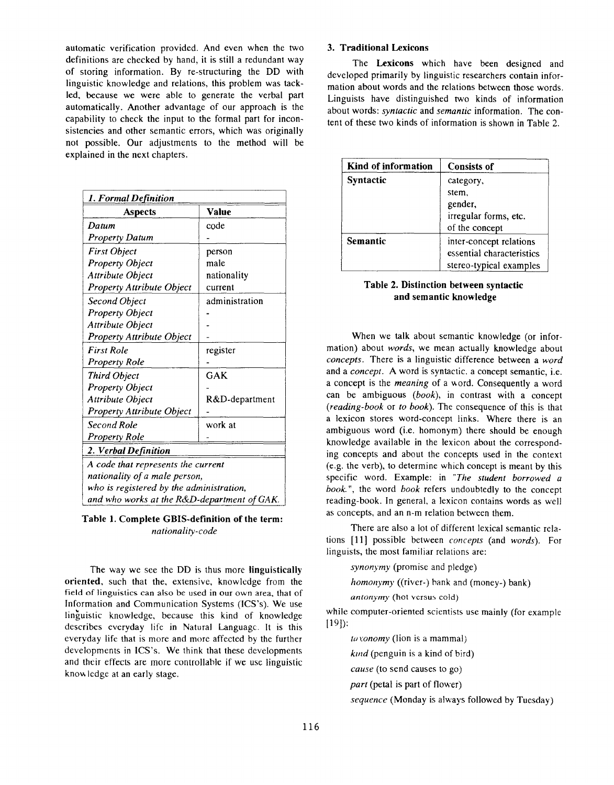automatic verification provided. And even when the two definitions are checked by hand, it is still a redundant way of storing information. By re-structuring the DD with linguistic knowledge and relations, this problem was tackled, because we were able to generate the verbal part automatically. Another advantage of our approach is the capability to check the input to the formal part for inconsistencies and other semantic errors, which was originally not possible. Our adjustments to the method will be explained in the next chapters.

| 1. Formal Definition                        |                |  |  |  |
|---------------------------------------------|----------------|--|--|--|
| Aspects                                     | Value          |  |  |  |
| Datum                                       | code           |  |  |  |
| <b>Property Datum</b>                       |                |  |  |  |
| <b>First Object</b>                         | person         |  |  |  |
| <b>Property Object</b>                      | male           |  |  |  |
| <b>Attribute Object</b>                     | nationality    |  |  |  |
| Property Attribute Object                   | current        |  |  |  |
| Second Object                               | administration |  |  |  |
| <b>Property Object</b>                      |                |  |  |  |
| Attribute Object                            |                |  |  |  |
| <b>Property Attribute Object</b>            |                |  |  |  |
| <b>First Role</b>                           | register       |  |  |  |
| <b>Property Role</b>                        |                |  |  |  |
| Third Object                                | GAK            |  |  |  |
| Property Object                             |                |  |  |  |
| Attribute Object                            | R&D-department |  |  |  |
| <b>Property Attribute Object</b>            |                |  |  |  |
| Second Role                                 | work at        |  |  |  |
| Property Role                               |                |  |  |  |
| 2. Verbal Definition                        |                |  |  |  |
| A code that represents the current          |                |  |  |  |
| nationality of a male person,               |                |  |  |  |
| who is registered by the administration,    |                |  |  |  |
| and who works at the R&D-department of GAK. |                |  |  |  |

Table 1. Complete GBIS-definition of the term: nationality-code

The way we see the DD is thus more **linguistically** oriented, such that the, extensive, knowledge from the field of linguistics can also be used in our own area, that of Information and Communication Systems (ICS'S). We use linguistic knowledge, because this kind of knowledge describes everyday life in Natural Language. It is this everyday life that is more and more affected by the further developments in lCS'S. We think that these developments and their effects are more controllable if we usc linguistic know ledge at an early stage.

### 3. Traditional Lexicons

The Lexicons which have been designed and developed primarily by linguistic researchers contain information about words and the relations between those words. Linguists have distinguished two kinds of information about words: syntactic and semantic information. The content of these two kinds of information is shown in Table 2.

| Kind of information | <b>Consists of</b>                                                              |
|---------------------|---------------------------------------------------------------------------------|
| <b>Syntactic</b>    | category,<br>stem.<br>gender,<br>irregular forms, etc.<br>of the concept        |
| <b>Semantic</b>     | inter-concept relations<br>essential characteristics<br>stereo-typical examples |

### Table 2. Distinction between syntactic and semantic knowledge

When we talk about semantic knowledge (or information) about words, we mean actually knowledge about concepts. There is a linguistic difference between a word and a concept. A word is syntactic. a concept semantic, i.e. a concept is the *meaning* of a word. Consequently a word can be ambiguous (book), in contrast with a concept (reading-book or to book). The consequence of this is that a lexicon stores word-concept links. Where there is an ambiguous word (i.e. homonym) there should be enough knowledge available in the lexicon about the corresponding concepts and about the concepts used in the context (e.g. the verb), to determine which concept is meant by this specific word. Example: in "The student borrowed a book.", the word book refers undoubtedly to the concept reading-book. In general, a lexicon contains words as well as concepts, and an n-m relation between them.

There are also a lot of different lexical semantic relations [11] possible between concepts (and words). For linguists, the most familiar relations are:

synonymy (promise and pledge)

homonymy ((river-) bank and (money-) bank)

antonymy (hot versus cold)

while computer-oriented scientists use mainly (for example [19]):

 $[10 \text{ v}onom$  (lion is a mammal)

 $kmd$  (penguin is a kind of bird)

cause (to send causes to go)

part (petal is part of flower)

sequence (Monday is always followed by Tuesday)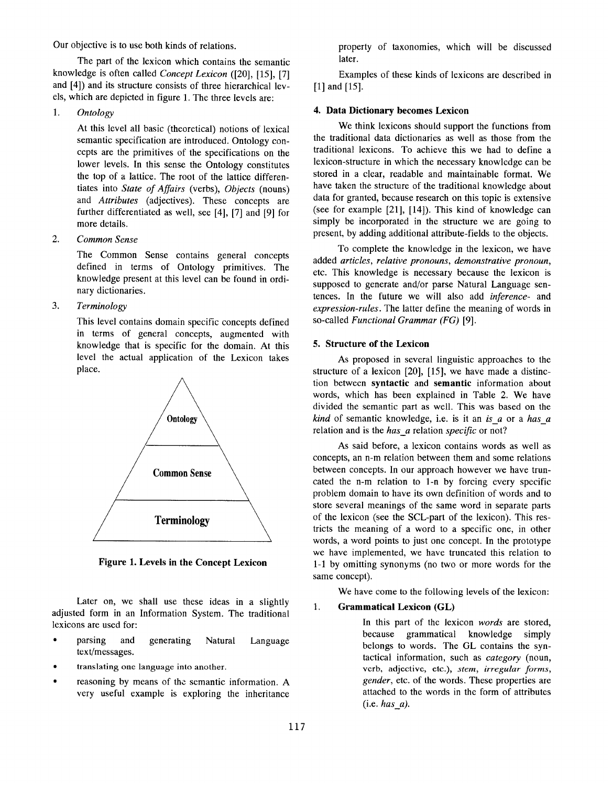Our objective is to use both kinds of relations.

The part of the lexicon which contains the semantic knowledge is often called Concept Lexicon ([20], [15], [7] and [4]) and its structure consists of three hierarchical levels, which are depicted in figure 1. The three levels are:

1. **Ontology** 

> At this level all basic (theoretical) notions of lexical semantic specification are introduced. Ontology concepts are the primitives of the specifications on the lower levels. In this sense the Ontology constitutes the top of a lattice. The root of the lattice differentiates into State of Aflairs (verbs), Objects (nouns) and Attributes (adjectives). These concepts are further differentiated as well, see [4], [7] and [9] for more details.

2. Common Sense

> The Common Sense contains general concepts defined in terms of Ontology primitives. The knowledge present at this level can be found in ordinary dictionaries.

3. Terminology

> This level contains domain specific concepts defined in terms of general concepts, augmented with knowledge that is specific for the domain. At this level the actual application of the Lexicon takes place.



Figure 1. Levels in the Concept Lexicon

Later on, we shall use these ideas in a slightl adjusted form in an Information System. The tradition lexicons are used for:

- parsing and generating Natural text/messages. Language
- translating one language into another.
- reasoning by means of the semantic information. A very useful example is exploring the inheritance

property of taxonomies, which will be discussed later.

Examples of these kinds of lexicons are described in [1] and [15].

### 4. Data Dictionary becomes Lexicon

We think lexicons should support the functions from the traditional data dictionaries as well as those from the traditional lexicons. To achieve this we had to define a lexicon-structure in which the necessary knowledge can be stored in a clear, readable and maintainable format. We have taken the structure of the traditional knowledge about data for granted, because research on this topic is extensive (see for example  $[21]$ ,  $[14]$ ). This kind of knowledge can simply be incorporated in the structure we are going to present, by adding additional attribute-fields to the objects.

To complete the knowledge in the lexicon, we have added articles, relative pronouns, demonstrative pronoun, etc. This knowledge is necessary because the lexicon is supposed to generate and/or parse Natural Language sentences. In the future we will also add inference- and expression-rules. The latter define the meaning of words in so-called Functional Grammar (FG) [9].

### 5. Structure of the Lexicon

As proposed in several linguistic approaches to the structure of a lexicon [20], [15], we have made a distinction between syntactic and semantic information about words, which has been explained in Table 2. We have divided the semantic part as well. This was based on the  $kind$  of semantic knowledge, i.e. is it an is  $a$  or a has  $a$ relation and is the has\_a relation specific or not?

As said before, a lexicon contains words as well as concepts, an n-m relation between them and some relations between concepts, In our approach however we have truncated the n-m relation to 1-n by forcing every specific problem domain to have its own definition of words and to store several meanings of the same word in separate parts of the lexicon (see the SCL-part of the lexicon). This restricts the meaning of a word to a specific one, in other words, a word points to just one concept. In the prototype we have implemented, we have truncated this relation to 1-1 by omitting synonyms (no two or more words for the same concept).

We have come to the following levels of the lexicon:

# 1. Grammatical Lexicon (GL)

In this part of the lexicon words are stored, because grammatical knowledge simply belongs to words. The GL contains the syntactical information, such as *category* (noun, verb, adjective, etc.), stem, irregular forms, gender, etc. of the words. These properties are attached to the words in the form of attributes  $(i.e. has a)$ .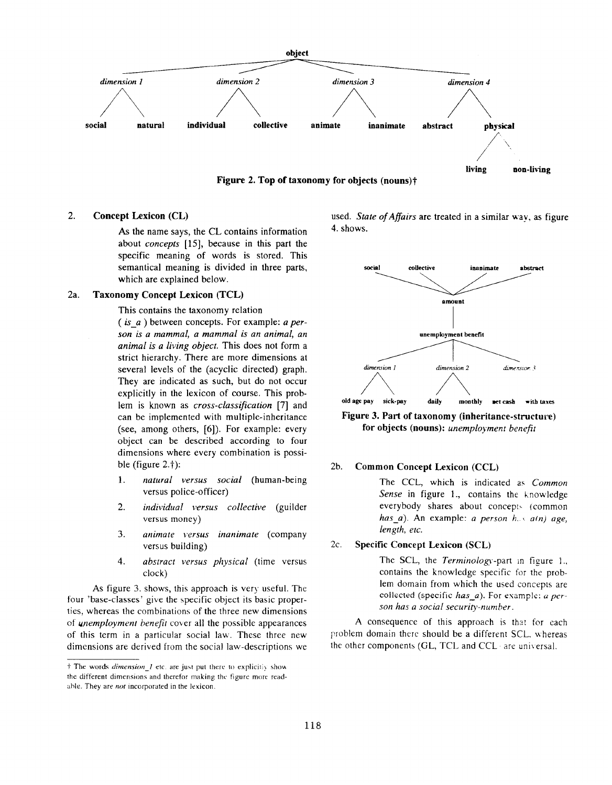

## 2. Concept Lexicon (CL)

As the name says, the CL contains information about concepts [15], because in this part the specific meaning of words is stored. This semantical meaning is divided in three parts, which are explained below.

### 2a. Taxonomy Concept Lexicon (TCL)

This contains the taxonomy relation

 $(isa)$  between concepts. For example: a person is a mammal, a mammal is an animal, an animal is a living object. This does not form a strict hierarchy. There are more dimensions at several levels of the (acyclic directed) graph. They are indicated as such, but do not occur explicitly in the lexicon of course. This problem is known as *cross-classification* [7] and can be implemented with multiple-inheritance (see, among others, [6]). For example: every object can be described according to four dimensions where every combination is possible (figure  $2.†$ ):

- 1. natural versus social (human-being versus police-officer)
- 2. individual versus collective (guilder versus money)
- 3. animate versus inanimate (company versus building)
- 4. abstract versus physical (time versus clock)

As figure 3. shows, this approach is very useful. The four 'base-classes' give the specific object its basic properties, whereas the combinations of the three new dimensions of unemployment benefit cover all the possible appearances of this term in a particular social law. These three new dimensions are derived from the social law-descriptions we used. State of Affairs are treated in a similar way, as figure 4. shows.



Figure 3. Part of taxonomy (inheritance-structure) for objects (nouns): unemployment benefit

### 2b. Common Concept Lexicon (CCL)

The CCL, which is indicated as Common Sense in figure 1., contains the knowledge everybody shares about concepts (commo has\_a). An example: a *person h.s. a(n)* age length, etc.

### 2c. Specific Concept Lexicon (SCL)

The SCL, the Terminology-part in figure 1. contains the knowledge specific for the problem domain from which the used concepls are collected (specific has\_a). For example:  $a$  person has a social security-number.

A consequence of this approach is that for each problem domain there should be a different SCL. whereas the other components (GL, TCL and CCL are universal.

 $\dagger$  The words *dimension* 1 etc. are just put there to explicitly show the different dimensions and therefor making the figure more readable. They are not incorporated in the lexicon.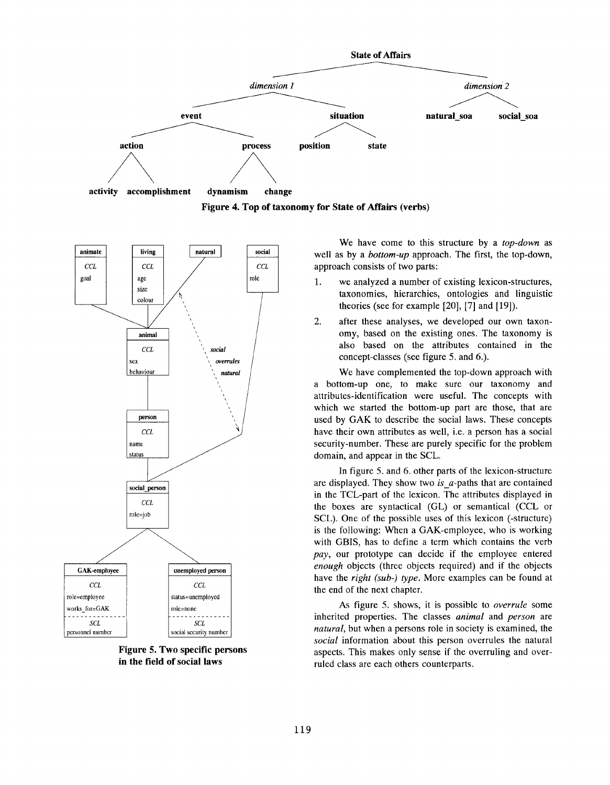

Figure 4. Top of taxonomy for State of Affairs (verbs)



Figure 5. Two specific persons in the field of social laws

We have come to this structure by a top-down as well as by a *bottom-up* approach. The first, the top-down, approach consists of two parts:

- 1. we analyzed a number of existing lexicon-structures, taxonomies, hierarchies, ontologies and linguistic theories (see for example [20], [7] and [19]).
- 2. after these analyses, we developed our own taxonomy, based on the existing ones. The taxonomy is also based on the attributes contained in the concept-classes (see figure 5. and 6.).

We have complemented the top-down approach with a bottom-up one, to make sure our taxonomy and attributes-identification were useful. The concepts with which we started the bottom-up part are those, that are used by GAK to describe the social laws. These concepts have their own attributes as well, i.e. a person has a social security-number. These are purely specific for the problem domain, and appear in the SCL.

In figure 5. and 6. other parts of the lexicon-structure are displayed. They show two is  $a$ -paths that are contained in the TCL-part of the lexicon. The attributes displayed in the boxes are syntactical (GL) or semantical (CCL or SCL). One of the possible uses of this lexicon (-structure) is the following: When a GAK-employee, who is working with GBIS, has to define a term which contains the verb pay, our prototype can decide if the employee entered enough objects (three objects required) and if the objects have the right (sub-) type. More examples can be found at the end of the next chapter.

As figure 5. shows, it is possible to *overrule* some inherited properties. The classes animal and person are natural, but when a persons role in society is examined, the social information about this person overrules the natural aspects. This makes only sense if the overruling and overruled class are each others counterparts.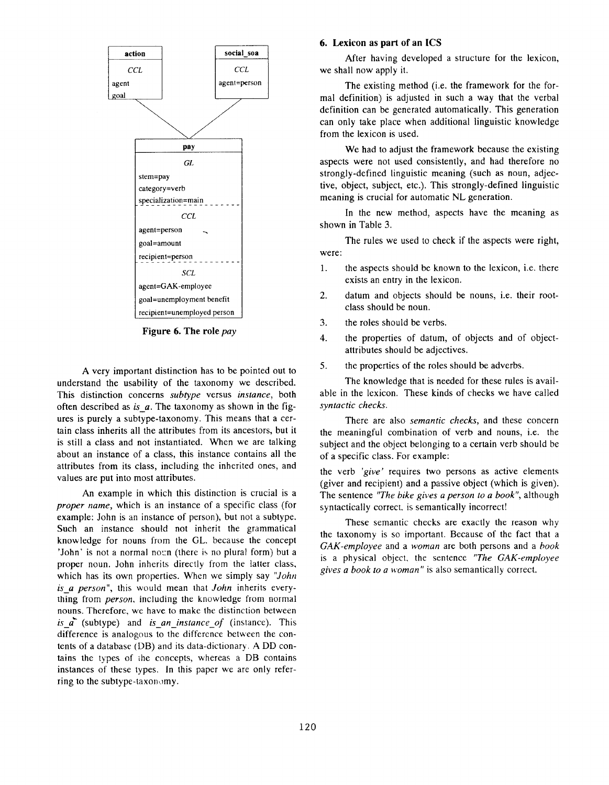

Figure 6. The role pay

A very important distinction has to be pointed out to understand the usability of the taxonomy we described. This distinction concerns subtype versus instance, both often described as is  $a$ . The taxonomy as shown in the figures is purely a subtype-taxonomy. This means that a certain class inherits all the attributes from its ancestors, but it is still a class and not instantiated. When we are talking about an instance of a class, this instance contains all the attributes from its class, including the inherited ones, and values are put into most attributes.

An example in which this distinction is crucial is a proper name, which is an instance of a specific class (for example: John is an instance of person), but not a subtype. Such an instance should not inherit the grammatical knowledge for nouns from the CL. because the concept 'John' is not a normal noun (there is no plural form) but a proper noun. John inherits directly from the latter class, which has its own properties. When we simply say "John is a person", this would mean that John inherits everything from *person*, including the knowledge from normal nouns. Therefore, we have to make the distinction between is  $\overline{a}$  (subtype) and is an instance of (instance). This difference is analogous to the difference between the contents of a database (DB) and its data-dictionary. A DD contains the types of the concepts, whereas a DB contains instances of these types. In this paper we are only referring to the subtype-taxonomy.

#### 6. Lexicon as part of an ICS

After having developed a structure for the lexicon, we shall now apply it.

The existing method (i.e. the framework for the formal definition) is adjusted in such a way that the verbal definition can be generated automatically. This generation can only take place when additional linguistic knowledge from the lexicon is used.

We had to adjust the framework because the existing aspects were not used consistently, and had therefore no strongly-defined linguistic meaning (such as noun, adjective, object, subject, etc.). This strongly-defined linguistic meaning is crucial for automatic NL generation.

In the new method, aspects have the meaning as shown in Table 3.

The rules we used to check if the aspects were right, were:

- 1. the aspects should be known to the lexicon, i.e. there exists an entry in the lexicon.
- 2. datum and objects should be nouns, i.e. their rootclass should be noun.
- 3. the roles should be verbs.
- 4. the properties of datum, of objects and of objectattributes should be adjectives.
- 5. the properties of the roles should be adverbs.

The knowledge that is needed for these rules is available in the lexicon. These kinds of checks we have called syntactic checks.

There are also *semantic checks*, and these concern the meaningful combination of verb and nouns, i.e. the subject and the object belonging to a certain verb should be of a specific class. For example:

the verb 'give' requires two persons as active elements (giver and recipient) and a passive object (which is given). The sentence "The bike gives a person to a book", although syntactically correct. is semantically incorrect!

These semantic checks are exactly the reason why the taxonomy is so important. Because of the fact that a GAK-employee and a woman are both persons and a book is a physical object, the sentence "The GAK-employee gives a book to a woman" is also semantically correct.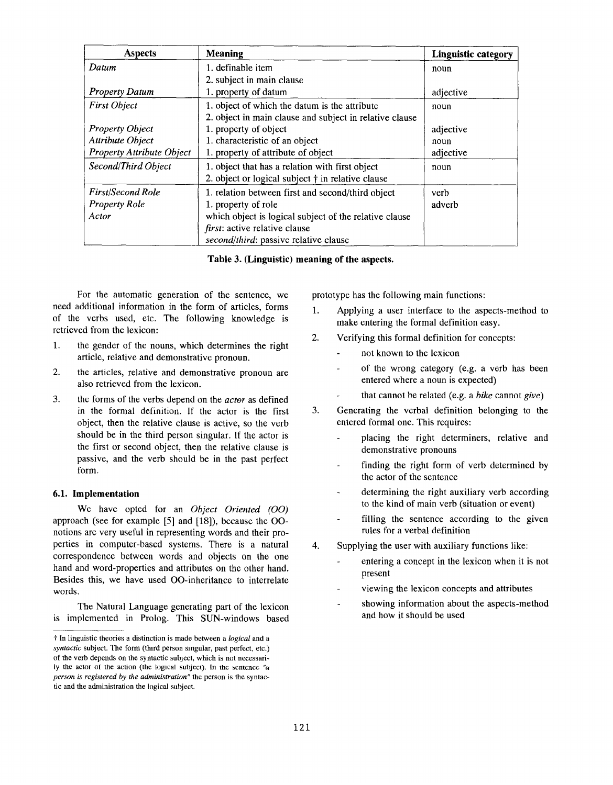| <b>Aspects</b>                   | <b>Meaning</b>                                          | <b>Linguistic category</b> |
|----------------------------------|---------------------------------------------------------|----------------------------|
| Datum                            | 1. definable item                                       | noun                       |
|                                  | 2. subject in main clause                               |                            |
| <b>Property Datum</b>            | 1. property of datum                                    | adjective                  |
| <b>First Object</b>              | 1. object of which the datum is the attribute           | noun                       |
|                                  | 2. object in main clause and subject in relative clause |                            |
| <b>Property Object</b>           | 1. property of object                                   | adjective                  |
| Attribute Object                 | 1. characteristic of an object                          | noun                       |
| <b>Property Attribute Object</b> | 1. property of attribute of object                      | adjective                  |
| Second/Third Object              | 1. object that has a relation with first object         | noun                       |
|                                  | 2. object or logical subject † in relative clause       |                            |
| <b>First/Second Role</b>         | 1. relation between first and second/third object       | verb                       |
| <b>Property Role</b>             | 1. property of role                                     | adverb                     |
| Actor                            | which object is logical subject of the relative clause  |                            |
|                                  | first: active relative clause                           |                            |
|                                  | second/third: passive relative clause                   |                            |

Table 3. (Linguistic) meaning of the aspects.

For the automatic generation of the sentence, we need additional information in the form of articles, forms of the verbs used, etc. The following knowledge is retrieved from the lexicon:

- 1. the gender of the nouns, which determines the right article, relative and demonstrative pronoun.
- 2. the articles, relative and demonstrative pronoun are also retrieved from the lexicon.
- 3. the forms of the verbs depend on the *actor* as defined in the formal definition. If the actor is the first object, then the relative clause is active, so the verb should be in the third person singular. If the actor is the first or second object, then the relative clause is passive, and the verb should be in the past perfect form.

#### 6.1. Implementation

We have opted for an Object Oriented (OO) approach (see for example [5] and [18]), because the 00 notions are very useful in representing words and their properties in computer-based systems. There is a natural correspondence between words and objects on the one hand and word-properties and attributes on the other hand. Besides this, we have used 00-inheritance to interrelate words.

The Natural Language generating part of the lexicon is implemented in Prolog. This SUN-windows based prototype has the following main functions:

- 1. Applying a user interface to the aspects-method to make entering the formal definition easy.
- 2. Verifying this formal definition for concepts:
	- ä, not known to the lexicon
	- of the wrong category (e.g. a verb has been entered where a noun is expected)
	- that cannot be related (e.g. a bike cannot give)
- 3. Generating the verbal definition belonging to the entered formal one. This requires:
	- placing the right determiners, relative and demonstrative pronouns
	- finding the right form of verb determined by the actor of the sentence
	- determining the right auxiliary verb according to the kind of main verb (situation or event)
	- filling the sentence according to the given rules for a verbal definition
- 4. Supplying the user with auxiliary functions like:
	- entering a concept in the lexicon when it is not present
	- viewing the lexicon concepts and attributes
	- showing information about the aspects-method and how it should be used

<sup>&</sup>lt;sup>†</sup> In linguistic theories a distinction is made between a logical and a syntactic subject. The form (third person singular, past perfect, etc.) of the verb depends on the syntactic subject, which is not necessarily the actor of the action (the logical subject). In the sentence " $u$ person is registered by the administration" the person is the syntactic and the administration the logical subject.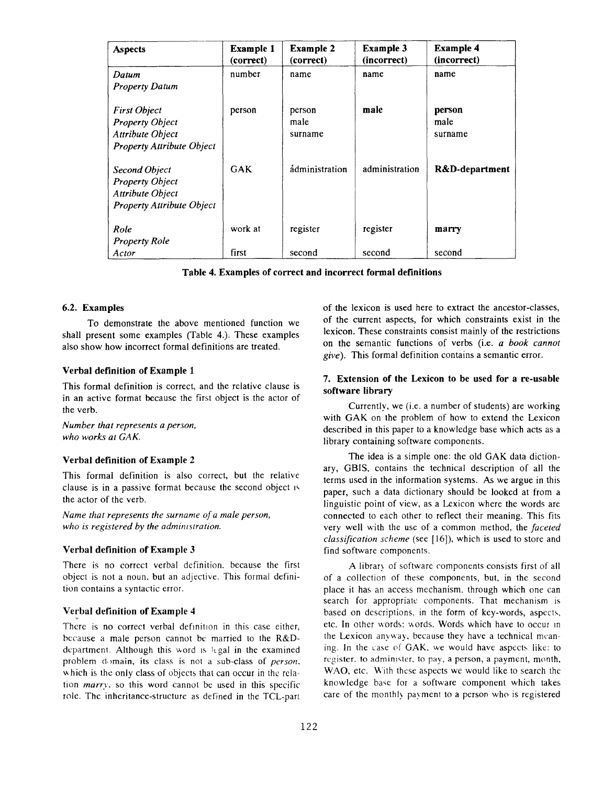| <b>Aspects</b>                                                                                               | <b>Example 1</b><br>(correct) | <b>Example 2</b><br>(correct) | Example 3<br>(incorrect) | <b>Example 4</b><br>(incorrect) |
|--------------------------------------------------------------------------------------------------------------|-------------------------------|-------------------------------|--------------------------|---------------------------------|
| Datum<br><b>Property Datum</b>                                                                               | number                        | name                          | name                     | name                            |
| <b>First Object</b><br><b>Property Object</b><br><b>Attribute Object</b><br><b>Property Attribute Object</b> | person                        | person<br>male<br>surname     | male                     | person<br>male<br>surname       |
| <b>Second Object</b><br><b>Property Object</b><br>Attribute Object<br><b>Property Attribute Object</b>       | GAK                           | administration                | administration           | R&D-department                  |
| Role<br><b>Property Role</b>                                                                                 | work at                       | register                      | register                 | marry                           |
| Actor                                                                                                        | first                         | second                        | second                   | second                          |

Table 4. Examples of correct and incorrect formal definitions

#### 6.2. Examples

To demonstrate the above mentioned function we shall present some examples (Table 4,). These examples also show how incorrect formal definitions are treated.

#### Verbal definition of Example 1

This formal definition is correct, and the relative clause is in an active format because the first object is the actor of the verb.

Number that represents a person, who works at GAK.

### Verbal definition of Example 2

This formal definition is also correct, but the relative clause is in a passive format because the second object 1< the actor of the verb.

Name that represents the surname of a male person, who is registered by the administration.

### Verbal definition of Example 3

There is no correct verbal definition. because the first object is not a noun. but an adjective. This formal definition contains a syntactic error.

# Verbal definition of Example 4

There is no correct verbal definition in this case either, because a male person cannot be married to the R&Ddepartrnent. Although this word IS legal in the examined problem domain, its class is not a sub-class of person. v hich is the only class of objects that can occur in the relation marry, so this word cannot be used in this specific role. The inheritance-structure as defined in the TCL-part of the lexicon is used here to extract the ancestor-classes, of the current aspects, for which constraints exist in the lexicon. These constraints consist mainly of the restrictions on the semantic functions of verbs (i.e. a book cannot give). This formal definition contains a semantic error.

### 7. Extension of the Lexicon to be used for a re-usable software library

Currently, we (i.e. a number of students) are working with GAK on the problem of how to extend the Lexicon described in this paper to a knowledge base which acts as a library containing software components.

The idea is a simple one: the old GAK data dictionary, GBIS, contains the technical description of all the terms used in the information systems. As we argue in this paper, such a data dictionary should be looked at from a linguistic point of view, as a Lexicon where the words are connected to each other to reflect their meaning. This fits very well with the use of a common method, the faceted classification scheme (see [16]), which is used to store and find software components.

A Iibrar) of software components consists first of ail of a collection of these components, but, in the second place it has an access mechanism, through which one can search for appropriate components. That mechanism is based on descriptions. in the form of key-words, aspects, etc. In other words: words. Words which have to occur in the Lexicon anyway, because they have a technical meaning. In the case of GAK, we would have aspects like: to register, to administer, to pay, a person, a payment, month, WAO, etc. With these aspects we would like to search the knowledge base for a software component which takes care of the monthly payment to a person who is registered